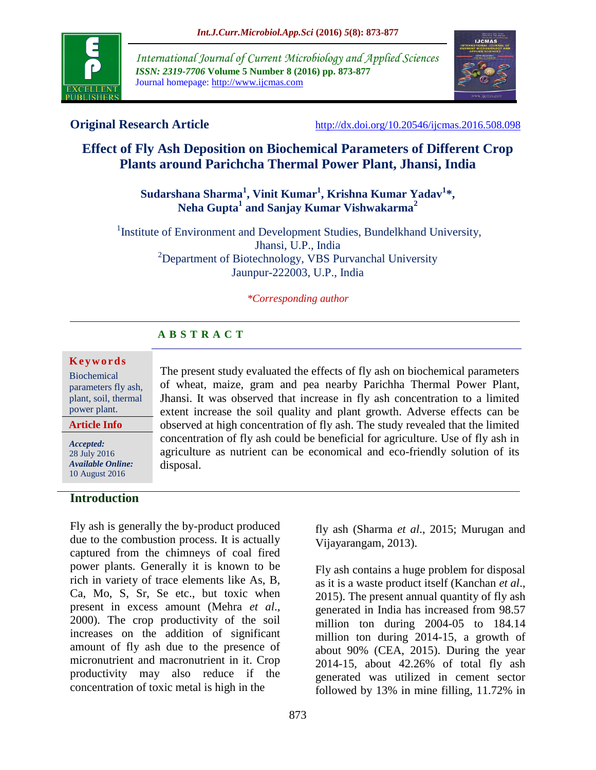

*International Journal of Current Microbiology and Applied Sciences ISSN: 2319-7706* **Volume 5 Number 8 (2016) pp. 873-877** Journal homepage: http://www.ijcmas.com



**Original Research Article** <http://dx.doi.org/10.20546/ijcmas.2016.508.098>

# **Effect of Fly Ash Deposition on Biochemical Parameters of Different Crop Plants around Parichcha Thermal Power Plant, Jhansi, India**

# **Sudarshana Sharma<sup>1</sup> , Vinit Kumar<sup>1</sup> , Krishna Kumar Yadav<sup>1</sup> \*, Neha Gupta<sup>1</sup> and Sanjay Kumar Vishwakarma<sup>2</sup>**

<sup>1</sup>Institute of Environment and Development Studies, Bundelkhand University, Jhansi, U.P., India <sup>2</sup>Department of Biotechnology, VBS Purvanchal University Jaunpur-222003, U.P., India

#### *\*Corresponding author*

# **A B S T R A C T**

### **K e y w o r d s**

Biochemical parameters fly ash, plant, soil, thermal power plant.

#### **Article Info**

*Accepted:*  28 July 2016 *Available Online:* 10 August 2016

### **Introduction**

Fly ash is generally the by-product produced due to the combustion process. It is actually captured from the chimneys of coal fired power plants. Generally it is known to be rich in variety of trace elements like As, B, Ca, Mo, S, Sr, Se etc., but toxic when present in excess amount (Mehra *et al*., 2000). The crop productivity of the soil increases on the addition of significant amount of fly ash due to the presence of micronutrient and macronutrient in it. Crop productivity may also reduce if the concentration of toxic metal is high in the

The present study evaluated the effects of fly ash on biochemical parameters of wheat, maize, gram and pea nearby Parichha Thermal Power Plant, Jhansi. It was observed that increase in fly ash concentration to a limited extent increase the soil quality and plant growth. Adverse effects can be observed at high concentration of fly ash. The study revealed that the limited concentration of fly ash could be beneficial for agriculture. Use of fly ash in agriculture as nutrient can be economical and eco-friendly solution of its disposal.

> fly ash (Sharma *et al*., 2015; Murugan and Vijayarangam, 2013).

Fly ash contains a huge problem for disposal as it is a waste product itself (Kanchan *et al*., 2015). The present annual quantity of fly ash generated in India has increased from 98.57 million ton during 2004-05 to 184.14 million ton during 2014-15, a growth of about 90% (CEA, 2015). During the year 2014-15, about 42.26% of total fly ash generated was utilized in cement sector followed by 13% in mine filling, 11.72% in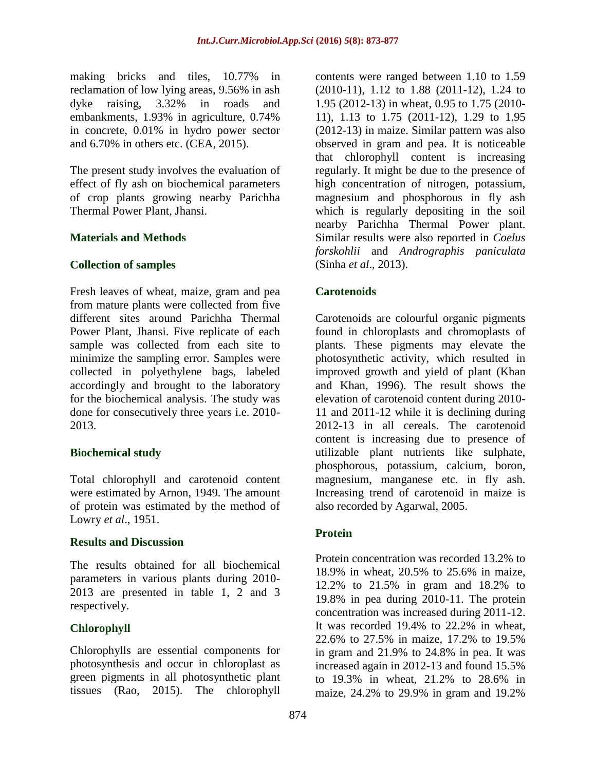making bricks and tiles, 10.77% in reclamation of low lying areas, 9.56% in ash dyke raising, 3.32% in roads and embankments, 1.93% in agriculture, 0.74% in concrete, 0.01% in hydro power sector and 6.70% in others etc. (CEA, 2015).

The present study involves the evaluation of effect of fly ash on biochemical parameters of crop plants growing nearby Parichha Thermal Power Plant, Jhansi.

## **Materials and Methods**

## **Collection of samples**

Fresh leaves of wheat, maize, gram and pea from mature plants were collected from five different sites around Parichha Thermal Power Plant, Jhansi. Five replicate of each sample was collected from each site to minimize the sampling error. Samples were collected in polyethylene bags, labeled accordingly and brought to the laboratory for the biochemical analysis. The study was done for consecutively three years i.e. 2010- 2013.

## **Biochemical study**

Total chlorophyll and carotenoid content were estimated by Arnon, 1949. The amount of protein was estimated by the method of Lowry *et al*., 1951.

### **Results and Discussion**

The results obtained for all biochemical parameters in various plants during 2010- 2013 are presented in table 1, 2 and 3 respectively.

## **Chlorophyll**

Chlorophylls are essential components for photosynthesis and occur in chloroplast as green pigments in all photosynthetic plant tissues (Rao, 2015). The chlorophyll

contents were ranged between 1.10 to 1.59 (2010-11), 1.12 to 1.88 (2011-12), 1.24 to 1.95 (2012-13) in wheat, 0.95 to 1.75 (2010- 11), 1.13 to 1.75 (2011-12), 1.29 to 1.95 (2012-13) in maize. Similar pattern was also observed in gram and pea. It is noticeable that chlorophyll content is increasing regularly. It might be due to the presence of high concentration of nitrogen, potassium, magnesium and phosphorous in fly ash which is regularly depositing in the soil nearby Parichha Thermal Power plant. Similar results were also reported in *Coelus forskohlii* and *Andrographis paniculata* (Sinha *et al*., 2013).

# **Carotenoids**

Carotenoids are colourful organic pigments found in chloroplasts and chromoplasts of plants. These pigments may elevate the photosynthetic activity, which resulted in improved growth and yield of plant (Khan and Khan, 1996). The result shows the elevation of carotenoid content during 2010- 11 and 2011-12 while it is declining during 2012-13 in all cereals. The carotenoid content is increasing due to presence of utilizable plant nutrients like sulphate, phosphorous, potassium, calcium, boron, magnesium, manganese etc. in fly ash. Increasing trend of carotenoid in maize is also recorded by Agarwal, 2005.

## **Protein**

Protein concentration was recorded 13.2% to 18.9% in wheat, 20.5% to 25.6% in maize, 12.2% to 21.5% in gram and 18.2% to 19.8% in pea during 2010-11. The protein concentration was increased during 2011-12. It was recorded 19.4% to 22.2% in wheat, 22.6% to 27.5% in maize, 17.2% to 19.5% in gram and 21.9% to 24.8% in pea. It was increased again in 2012-13 and found 15.5% to 19.3% in wheat, 21.2% to 28.6% in maize, 24.2% to 29.9% in gram and 19.2%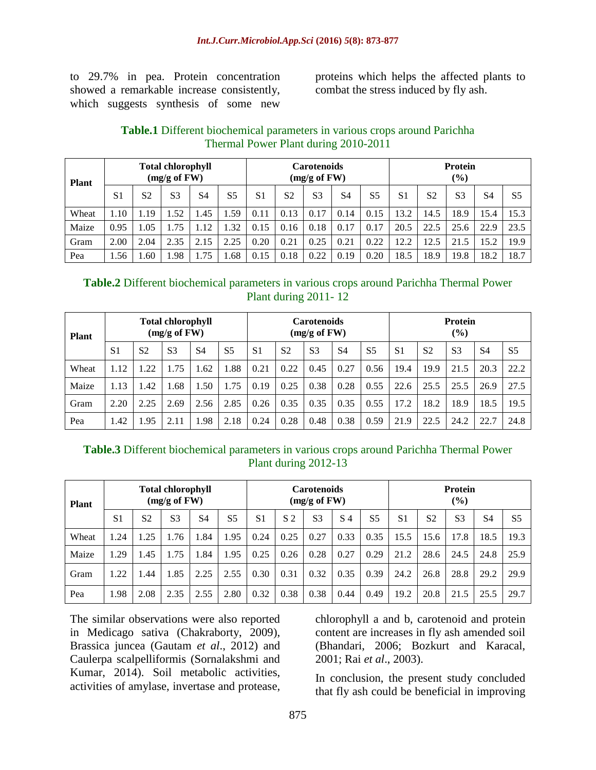to 29.7% in pea. Protein concentration showed a remarkable increase consistently, which suggests synthesis of some new

proteins which helps the affected plants to combat the stress induced by fly ash.

# **Table.1** Different biochemical parameters in various crops around Parichha Thermal Power Plant during 2010-2011

| <b>Plant</b> |                |                | <b>Total chlorophyll</b><br>(mg/g of FW) |      |                |      |      | <b>Carotenoids</b><br>(mg/g of FW) |      |                | <b>Protein</b><br>$($ %) |                |                |           |                |
|--------------|----------------|----------------|------------------------------------------|------|----------------|------|------|------------------------------------|------|----------------|--------------------------|----------------|----------------|-----------|----------------|
|              | S <sub>1</sub> | S <sub>2</sub> | S <sub>3</sub>                           | S4   | S <sub>5</sub> | S1   | S2   | S <sub>3</sub>                     | S4   | S <sub>5</sub> | S <sub>1</sub>           | S <sub>2</sub> | S <sub>3</sub> | <b>S4</b> | S <sub>5</sub> |
| Wheat        | 1.10           | . 19           | 1.52                                     | 1.45 | .59            | 0.11 | 0.13 | 0.17                               | 0.14 | 0.15           | 13.2                     | 14.5           | 18.9           | 15.4      | 15.3           |
| Maize        | 0.95           | .05            | 1.75                                     | 1.12 | .32            | 0.15 | 0.16 | 0.18                               | 0.17 | 0.17           | 20.5                     | 22.5           | 25.6           | 22.9      | 23.5           |
| Gram         | 2.00           | 2.04           | 2.35                                     | 2.15 | 2.25           | 0.20 | 0.21 | 0.25                               | 0.21 | 0.22           | 12.2                     | 12.5           | 21<br>.5       | 15.2      | 19.9           |
| Pea          | 1.56           | .60            | 1.98                                     | 1.75 | .68            | 0.15 | 0.18 | 0.22                               | 0.19 | 0.20           | 18.5                     | 18.9           | 19.8           | 18.2      | 18.7           |

| Table.2 Different biochemical parameters in various crops around Parichha Thermal Power |
|-----------------------------------------------------------------------------------------|
| Plant during $2011 - 12$                                                                |

| <b>Plant</b> |                |                | <b>Total chlorophyll</b><br>(mg/g of FW) |      |                | <b>Carotenoids</b><br>(mg/g of FW) |                |                |      |                | <b>Protein</b><br>$($ %) |      |                |      |                |
|--------------|----------------|----------------|------------------------------------------|------|----------------|------------------------------------|----------------|----------------|------|----------------|--------------------------|------|----------------|------|----------------|
|              | S <sub>1</sub> | S <sub>2</sub> | S <sub>3</sub>                           | S4   | S <sub>5</sub> | S1                                 | S <sub>2</sub> | S <sub>3</sub> | S4   | S <sub>5</sub> | S <sub>1</sub>           | S2   | S <sub>3</sub> | S4   | S <sub>5</sub> |
| Wheat        | 1.12           | .22            | 1.75                                     | .62  | l.88           | 0.21                               | 0.22           | 0.45           | 0.27 | 0.56           | 19.4                     | 19.9 | 21.5           | 20.3 | 22.2           |
| Maize        | 1.13           | .42            | 1.68                                     | 1.50 | 1.75           | 0.19                               | 0.25           | 0.38           | 0.28 | 0.55           | 22.6                     | 25.5 | 25.5           | 26.9 | 27.5           |
| Gram         | 2.20           | 2.25           | 2.69                                     | 2.56 | 2.85           | 0.26                               | 0.35           | 0.35           | 0.35 | 0.55           | 17.2                     | 18.2 | 18.9           | 18.5 | 19.5           |
| Pea          | 1.42           | .95            | 2.11                                     | .98  | 2.18           | 0.24                               | 0.28           | 0.48           | 0.38 | 0.59           | 21.9                     | 22.5 | 24.2           | 22.7 | 24.8           |

# **Table.3** Different biochemical parameters in various crops around Parichha Thermal Power Plant during 2012-13

| <b>Plant</b> |                |                | <b>Total chlorophyll</b><br>$(mg/g \text{ of } FW)$ |      |                |                |                | <b>Carotenoids</b><br>$(mg/g \text{ of } FW)$ |      |                | <b>Protein</b><br>$\frac{6}{6}$ |                |                |      |                |  |
|--------------|----------------|----------------|-----------------------------------------------------|------|----------------|----------------|----------------|-----------------------------------------------|------|----------------|---------------------------------|----------------|----------------|------|----------------|--|
|              | S <sub>1</sub> | S <sub>2</sub> | S <sub>3</sub>                                      | S4   | S <sub>5</sub> | S <sub>1</sub> | S <sub>2</sub> | S <sub>3</sub>                                | S 4  | S <sub>5</sub> | S <sub>1</sub>                  | S <sub>2</sub> | S <sub>3</sub> | S4   | S <sub>5</sub> |  |
| Wheat        | l.24           | 1.25           | 1.76                                                | 1.84 | 1.95           | 0.24           | 0.25           | 0.27                                          | 0.33 | 0.35           | 15.5                            | 15.6           | 17.8           | 18.5 | 19.3           |  |
| Maize        | 1.29           | 1.45           | 1.75                                                | 1.84 | 1.95           | 0.25           | 0.26           | 0.28                                          | 0.27 | 0.29           | 21.2                            | 28.6           | 24.5           | 24.8 | 25.9           |  |
| Gram         | 1.22           | 1.44           | 1.85                                                | 2.25 | 2.55           | 0.30           | 0.31           | 0.32                                          | 0.35 | 0.39           | 24.2                            | 26.8           | 28.8           | 29.2 | 29.9           |  |
| Pea          | 1.98           | 2.08           | 2.35                                                | 2.55 | 2.80           | 0.32           | 0.38           | 0.38                                          | 0.44 | 0.49           | 19.2                            | 20.8           | 21.<br>$.5\,$  | 25.5 | 29.7           |  |

The similar observations were also reported in Medicago sativa (Chakraborty, 2009), Brassica juncea (Gautam *et al*., 2012) and Caulerpa scalpelliformis (Sornalakshmi and Kumar, 2014). Soil metabolic activities, activities of amylase, invertase and protease,

chlorophyll a and b, carotenoid and protein content are increases in fly ash amended soil (Bhandari, 2006; Bozkurt and Karacal, 2001; Rai *et al*., 2003).

In conclusion, the present study concluded that fly ash could be beneficial in improving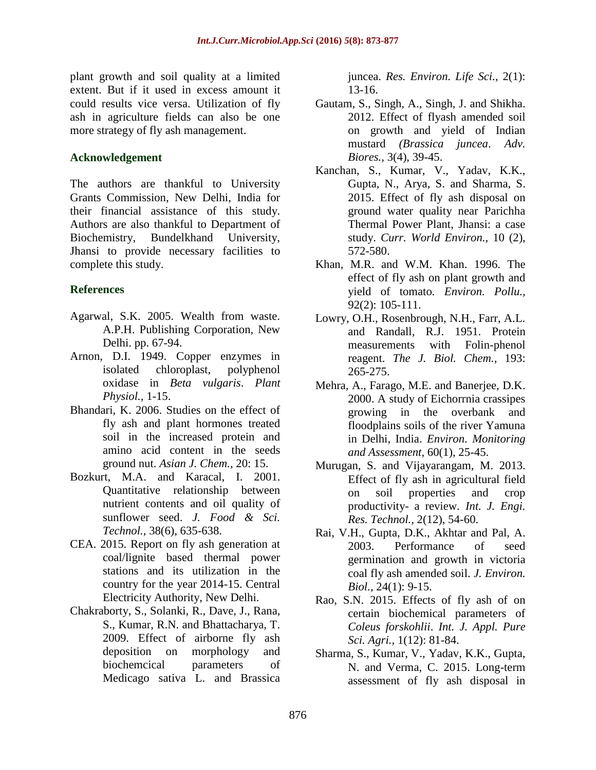plant growth and soil quality at a limited extent. But if it used in excess amount it could results vice versa. Utilization of fly ash in agriculture fields can also be one more strategy of fly ash management.

## **Acknowledgement**

The authors are thankful to University Grants Commission, New Delhi, India for their financial assistance of this study. Authors are also thankful to Department of Biochemistry, Bundelkhand University, Jhansi to provide necessary facilities to complete this study.

# **References**

- Agarwal, S.K. 2005. Wealth from waste. A.P.H. Publishing Corporation, New Delhi. pp. 67-94.
- Arnon, D.I. 1949. Copper enzymes in isolated chloroplast, polyphenol oxidase in *Beta vulgaris*. *Plant Physiol.,* 1-15.
- Bhandari, K. 2006. Studies on the effect of fly ash and plant hormones treated soil in the increased protein and amino acid content in the seeds ground nut. *Asian J. Chem.,* 20: 15.
- Bozkurt, M.A. and Karacal, I. 2001. Quantitative relationship between nutrient contents and oil quality of sunflower seed. *J. Food & Sci. Technol.,* 38(6), 635-638.
- CEA. 2015. Report on fly ash generation at coal/lignite based thermal power stations and its utilization in the country for the year 2014-15. Central Electricity Authority, New Delhi.
- Chakraborty, S., Solanki, R., Dave, J., Rana, S., Kumar, R.N. and Bhattacharya, T. 2009. Effect of airborne fly ash deposition on morphology and biochemcical parameters of Medicago sativa L. and Brassica

juncea. *Res. Environ. Life Sci.,* 2(1): 13-16.

- Gautam, S., Singh, A., Singh, J. and Shikha. 2012. Effect of flyash amended soil on growth and yield of Indian mustard *(Brassica juncea*. *Adv. Biores.,* 3(4), 39-45.
- Kanchan, S., Kumar, V., Yadav, K.K., Gupta, N., Arya, S. and Sharma, S. 2015. Effect of fly ash disposal on ground water quality near Parichha Thermal Power Plant, Jhansi: a case study. *Curr. World Environ.,* 10 (2), 572-580.
- Khan, M.R. and W.M. Khan. 1996. The effect of fly ash on plant growth and yield of tomato*. Environ. Pollu.,*  92(2): 105-111.
- Lowry, O.H., Rosenbrough, N.H., Farr, A.L. and Randall, R.J. 1951. Protein measurements with Folin-phenol reagent. *The J. Biol. Chem.,* 193: 265-275.
- Mehra, A., Farago, M.E. and Banerjee, D.K. 2000. A study of Eichorrnia crassipes growing in the overbank and floodplains soils of the river Yamuna in Delhi, India. *Environ. Monitoring and Assessment,* 60(1), 25-45.
- Murugan, S. and Vijayarangam, M. 2013. Effect of fly ash in agricultural field on soil properties and crop productivity- a review. *Int. J. Engi. Res. Technol.,* 2(12), 54-60.
- Rai, V.H., Gupta, D.K., Akhtar and Pal, A. 2003. Performance of seed germination and growth in victoria coal fly ash amended soil. *J. Environ. Biol.,* 24(1): 9-15.
- Rao, S.N. 2015. Effects of fly ash of on certain biochemical parameters of *Coleus forskohlii*. *Int. J. Appl. Pure Sci. Agri.,* 1(12): 81-84.
- Sharma, S., Kumar, V., Yadav, K.K., Gupta, N. and Verma, C. 2015. Long-term assessment of fly ash disposal in